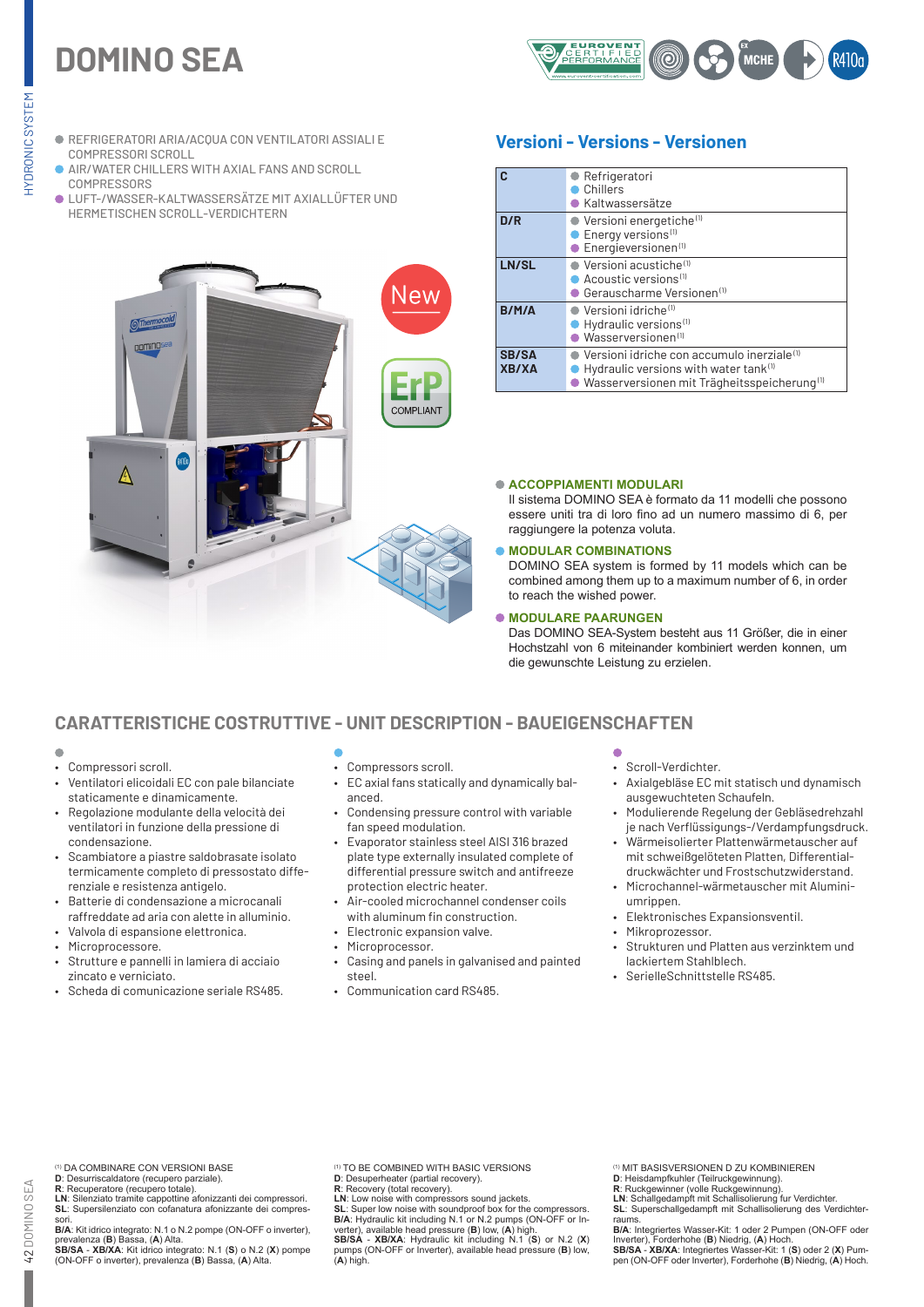# **DOMINO SEA**



- REFRIGERATORI ARIA/ACQUA CON VENTILATORI ASSIALI E COMPRESSORI SCROLL
- AIR/WATER CHILLERS WITH AXIAL FANS AND SCROLL **COMPRESSORS**
- LUFT-/WASSER-KALTWASSERSÄTZE MIT AXIALLÜFTER UND HERMETISCHEN SCROLL-VERDICHTERN



# **Versioni - Versions - Versionen**

|                       | ● Refrigeratori<br>Chillers<br>Kaltwassersätze                                                                                                                               |
|-----------------------|------------------------------------------------------------------------------------------------------------------------------------------------------------------------------|
| D/R                   | $\bullet$ Versioni energetiche <sup>(1)</sup><br>Energy versions <sup>(1)</sup><br>$\bullet$ Energieversionen $^{(1)}$                                                       |
| LN/SL                 | Versioni acustiche <sup>(1)</sup><br>$\bullet$ Acoustic versions <sup>(1)</sup><br>● Gerauscharme Versionen(1)                                                               |
| $B/M/\Delta$          | $\bullet$ Versioni idriche <sup>(1)</sup><br>Hydraulic versions <sup>(1)</sup><br>$\bullet$ Wasserversionen <sup>(1)</sup>                                                   |
| SB/SA<br><b>XB/XA</b> | $\bullet$ Versioni idriche con accumulo inerziale <sup>(1)</sup><br>Hydraulic versions with water tank $^{(1)}$<br>· Wasserversionen mit Trägheitsspeicherung <sup>(1)</sup> |

### **ACCOPPIAMENTI MODULARI**

Il sistema DOMINO SEA è formato da 11 modelli che possono essere uniti tra di loro fino ad un numero massimo di 6, per raggiungere la potenza voluta.

### **MODULAR COMBINATIONS**

DOMINO SEA system is formed by 11 models which can be combined among them up to a maximum number of 6, in order to reach the wished power.

### **MODULARE PAARUNGEN**

Das DOMINO SEA-System besteht aus 11 Größer, die in einer Hochstzahl von 6 miteinander kombiniert werden konnen, um die gewunschte Leistung zu erzielen.

# **CARATTERISTICHE COSTRUTTIVE - UNIT DESCRIPTION - BAUEIGENSCHAFTEN**

- $\blacksquare$
- Compressori scroll.
- Ventilatori elicoidali EC con pale bilanciate staticamente e dinamicamente.
- Regolazione modulante della velocità dei ventilatori in funzione della pressione di condensazione.
- Scambiatore a piastre saldobrasate isolato termicamente completo di pressostato differenziale e resistenza antigelo.
- Batterie di condensazione a microcanali raffreddate ad aria con alette in alluminio.
- Valvola di espansione elettronica.
- Microprocessore.
- Strutture e pannelli in lamiera di acciaio zincato e verniciato.
- Scheda di comunicazione seriale RS485.
- Compressors scroll.
- EC axial fans statically and dynamically balanced.
- Condensing pressure control with variable fan speed modulation.
- Evaporator stainless steel AISI 316 brazed plate type externally insulated complete of differential pressure switch and antifreeze protection electric heater.
- Air-cooled microchannel condenser coils with aluminum fin construction.
- Electronic expansion valve.
- Microprocessor.
- Casing and panels in galvanised and painted steel.
- Communication card RS485.
- 
- Scroll-Verdichter.
- Axialgebläse EC mit statisch und dynamisch ausgewuchteten Schaufeln.
- Modulierende Regelung der Gebläsedrehzahl je nach Verflüssigungs-/Verdampfungsdruck.
- Wärmeisolierter Plattenwärmetauscher auf mit schweißgelöteten Platten, Differential-
- druckwächter und Frostschutzwiderstand. • Microchannel-wärmetauscher mit Aluminiumrippen.
- Elektronisches Expansionsventil.
- Mikroprozessor.
- Strukturen und Platten aus verzinktem und lackiertem Stahlblech.
- SerielleSchnittstelle RS485.

(1) DA COMBINARE CON VERSIONI BASE

42 DOMINO SEA

42 DOMINO SEA

**D**: Desurriscaldatore (recupero parziale). **R**: Recuperatore (recupero totale). **LN**: Silenziato tramite cappottine afonizzanti dei compressori. **SL**: Supersilenziato con cofanatura afonizzante dei compres-

sori. **B/A**: Kit idrico integrato: N.1 o N.2 pompe (ON-OFF o inverter), prevalenza (**B**) Bassa, (**A**) Alta. **SB/SA** - **XB/XA**: Kit idrico integrato: N.1 (**S**) o N.2 (**X**) pompe

(ON-OFF o inverter), prevalenza (**B**) Bassa, (**A**) Alta.

TO BE COMBINED WITH BASIC VERSIONS

**D**: Desuperheater (partial recovery). **R**: Recovery (total recovery). **LN**: Low noise with compressors sound jackets.

**SL**: Super low noise with soundproof box for the compressors. **B/A**: Hydraulic kit including N.1 or N.2 pumps (ON-OFF or In-verter), available head pressure (**B**) low, (**A**) high. **SB/SA** - **XB/XA**: Hydraulic kit including N.1 (**S**) or N.2 (**X**) pumps (ON-OFF or Inverter), available head pressure (**B**) low, (**A**) high.

(1) MIT BASISVERSIONEN D ZU KOMBINIEREN

- **D**: Heisdampfkuhler (Teilruckgewinnung). **R**: Ruckgewinner (volle Ruckgewinnung). **LN**: Schallgedampft mit Schallisolierung fur Verdichter. **SL**: Superschallgedampft mit Schallisolierung des Verdichter-
- raums. **B/A**: Integriertes Wasser-Kit: 1 oder 2 Pumpen (ON-OFF oder

Inverter), Forderhohe (**B**) Niedrig, (**A**) Hoch. **SB/SA** - **XB/XA**: Integriertes Wasser-Kit: 1 (**S**) oder 2 (**X**) Pum-pen (ON-OFF oder Inverter), Forderhohe (**B**) Niedrig, (**A**) Hoch.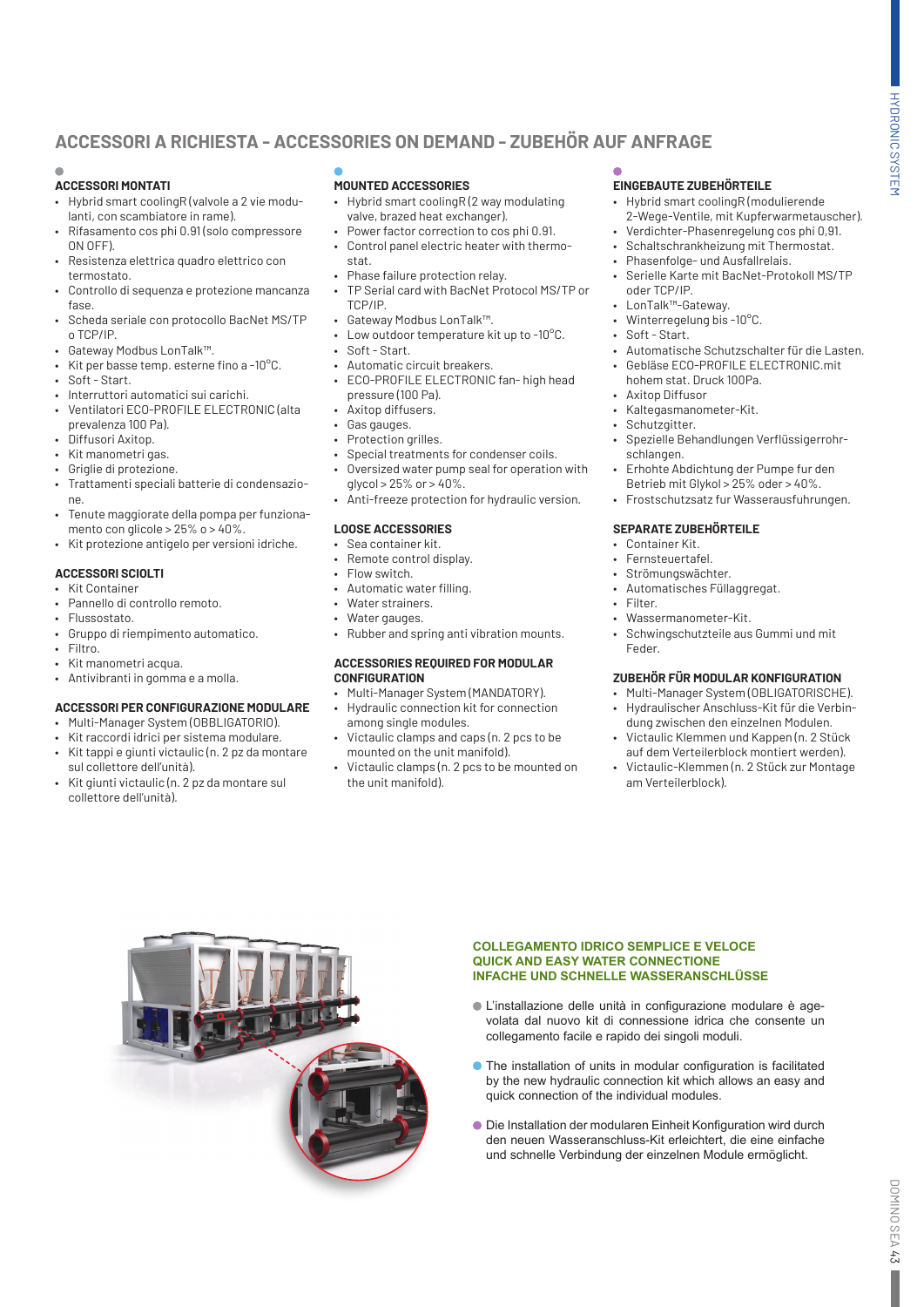# **ACCESSORI A RICHIESTA - ACCESSORIES ON DEMAND - ZUBEHÖR AUF ANFRAGE**

# **ACCESSORI MONTATI**

- Hybrid smart coolingR (valvole a 2 vie modulanti, con scambiatore in rame).
- Rifasamento cos phi 0.91 (solo compressore ON OFF).
- Resistenza elettrica quadro elettrico con termostato.
- Controllo di sequenza e protezione mancanza fase.
- Scheda seriale con protocollo BacNet MS/TP o TCP/IP.
- Gateway Modbus LonTalk™.
- Kit per basse temp. esterne fino a -10°C.
- Soft Start.
- Interruttori automatici sui carichi.
- Ventilatori ECO-PROFILE ELECTRONIC (alta prevalenza 100 Pa).
- Diffusori Axitop.
- Kit manometri gas.
- Griglie di protezione.
- Trattamenti speciali batterie di condensazione.
- Tenute maggiorate della pompa per funzionamento con glicole >  $25\%$  o >  $40\%$ .
- Kit protezione antigelo per versioni idriche.

## **ACCESSORI SCIOLTI**

- Kit Container
- Pannello di controllo remoto.
- Flussostato.
- Gruppo di riempimento automatico.
- Filtro.
- Kit manometri acqua.
- Antivibranti in gomma e a molla.

### **ACCESSORI PER CONFIGURAZIONE MODULARE**

- Multi-Manager System (OBBLIGATORIO).
- Kit raccordi idrici per sistema modulare.
- Kit tappi e giunti victaulic (n. 2 pz da montare sul collettore dell'unità).
- Kit giunti victaulic (n. 2 pz da montare sul collettore dell'unità).

# **MOUNTED ACCESSORIES**

- Hybrid smart coolingR (2 way modulating valve, brazed heat exchanger).
- Power factor correction to cos phi 0.91. • Control panel electric heater with thermo-
- stat.
- Phase failure protection relay.
- TP Serial card with BacNet Protocol MS/TP or TCP/IP.
- Gateway Modbus LonTalk™.
- Low outdoor temperature kit up to -10°C.
- Soft Start.
- Automatic circuit breakers.
- ECO-PROFILE ELECTRONIC fan- high head pressure (100 Pa).
- Axitop diffusers.
- Gas gauges.
- Protection grilles.
- Special treatments for condenser coils.
- Oversized water pump seal for operation with glycol > 25% or > 40%.
- Anti-freeze protection for hydraulic version.

### **LOOSE ACCESSORIES**

- Sea container kit.
- Remote control display.
- Flow switch.
- Automatic water filling.
- Water strainers.
- Water gauges.
- Rubber and spring anti vibration mounts.

### **ACCESSORIES REQUIRED FOR MODULAR CONFIGURATION**

- Multi-Manager System (MANDATORY).
- Hydraulic connection kit for connection among single modules.
- Victaulic clamps and caps (n. 2 pcs to be mounted on the unit manifold).
- Victaulic clamps (n. 2 pcs to be mounted on the unit manifold).

# **EINGEBAUTE ZUBEHÖRTEILE**

- Hybrid smart coolingR (modulierende 2-Wege-Ventile, mit Kupferwarmetauscher).
- Verdichter-Phasenregelung cos phi 0,91.
- Schaltschrankheizung mit Thermostat.
- Phasenfolge- und Ausfallrelais.
- Serielle Karte mit BacNet-Protokoll MS/TP oder TCP/IP.
- LonTalk™-Gateway.
- Winterregelung bis -10°C.
- Soft Start.
- Automatische Schutzschalter für die Lasten. • Gebläse ECO-PROFILE ELECTRONIC.mit
- hohem stat. Druck 100Pa.
- Axitop Diffusor
- Kaltegasmanometer-Kit.
- Schutzgitter.
- Spezielle Behandlungen Verflüssigerrohrschlangen.
- Erhohte Abdichtung der Pumpe fur den Betrieb mit Glykol > 25% oder > 40%.
- Frostschutzsatz fur Wasserausfuhrungen.

### **SEPARATE ZUBEHÖRTEILE**

- Container Kit.
- Fernsteuertafel.
- Strömungswächter.
- Automatisches Füllaggregat.
- Filter.
- Wassermanometer-Kit.
- Schwingschutzteile aus Gummi und mit Feder.

### **ZUBEHÖR FÜR MODULAR KONFIGURATION**

- Multi-Manager System (OBLIGATORISCHE).
- Hydraulischer Anschluss-Kit für die Verbindung zwischen den einzelnen Modulen.
- Victaulic Klemmen und Kappen (n. 2 Stück auf dem Verteilerblock montiert werden).
- Victaulic-Klemmen (n. 2 Stück zur Montage am Verteilerblock).



### **COLLEGAMENTO IDRICO SEMPLICE E VELOCE QUICK AND EASY WATER CONNECTIONE INFACHE UND SCHNELLE WASSERANSCHLÜSSE**

- L'installazione delle unità in configurazione modulare è agevolata dal nuovo kit di connessione idrica che consente un collegamento facile e rapido dei singoli moduli.
- The installation of units in modular configuration is facilitated by the new hydraulic connection kit which allows an easy and quick connection of the individual modules.
- Die Installation der modularen Einheit Konfiguration wird durch den neuen Wasseranschluss-Kit erleichtert, die eine einfache und schnelle Verbindung der einzelnen Module ermöglicht.

Ľ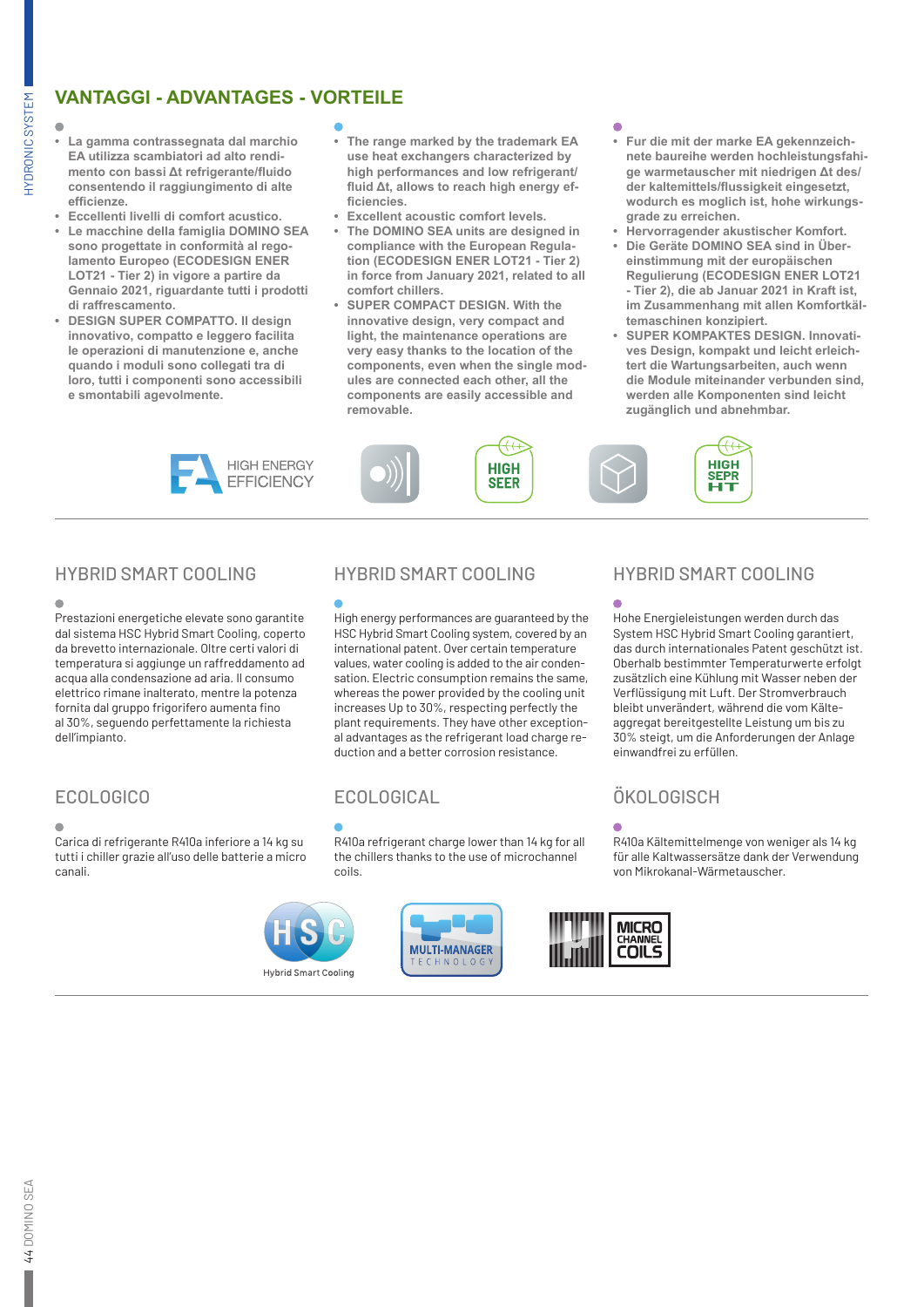# **VANTAGGI - ADVANTAGES - VORTEILE**

HYDRONIC SYSTEM

**HYDRONIC SYSTEM** 

- **• La gamma contrassegnata dal marchio EA utilizza scambiatori ad alto rendimento con bassi Δt refrigerante/fluido consentendo il raggiungimento di alte efficienze.**
- **• Eccellenti livelli di comfort acustico.**
- **• Le macchine della famiglia DOMINO SEA sono progettate in conformità al regolamento Europeo (ECODESIGN ENER LOT21 - Tier 2) in vigore a partire da Gennaio 2021, riguardante tutti i prodotti di raffrescamento.**
- **• DESIGN SUPER COMPATTO. Il design innovativo, compatto e leggero facilita le operazioni di manutenzione e, anche quando i moduli sono collegati tra di loro, tutti i componenti sono accessibili e smontabili agevolmente.**

- **• The range marked by the trademark EA use heat exchangers characterized by high performances and low refrigerant/ fluid Δt, allows to reach high energy efficiencies.**
- **• Excellent acoustic comfort levels.**
- **• The DOMINO SEA units are designed in compliance with the European Regulation (ECODESIGN ENER LOT21 - Tier 2) in force from January 2021, related to all comfort chillers.**
- **• SUPER COMPACT DESIGN. With the innovative design, very compact and light, the maintenance operations are very easy thanks to the location of the components, even when the single modules are connected each other, all the components are easily accessible and removable.**

**HIGH** 

**SEER** 

- **• Fur die mit der marke EA gekennzeichnete baureihe werden hochleistungsfahige warmetauscher mit niedrigen Δt des/ der kaltemittels/flussigkeit eingesetzt, wodurch es moglich ist, hohe wirkungsgrade zu erreichen.**
- **• Hervorragender akustischer Komfort.**
- **• Die Geräte DOMINO SEA sind in Übereinstimmung mit der europäischen Regulierung (ECODESIGN ENER LOT21 - Tier 2), die ab Januar 2021 in Kraft ist, im Zusammenhang mit allen Komfortkältemaschinen konzipiert.**
- **• SUPER KOMPAKTES DESIGN. Innovatives Design, kompakt und leicht erleichtert die Wartungsarbeiten, auch wenn die Module miteinander verbunden sind, werden alle Komponenten sind leicht zugänglich und abnehmbar.**



 $\epsilon$ 

Prestazioni energetiche elevate sono garantite dal sistema HSC Hybrid Smart Cooling, coperto da brevetto internazionale. Oltre certi valori di temperatura si aggiunge un raffreddamento ad acqua alla condensazione ad aria. Il consumo elettrico rimane inalterato, mentre la potenza fornita dal gruppo frigorifero aumenta fino al 30%, seguendo perfettamente la richiesta dell'impianto.

Carica di refrigerante R410a inferiore a 14 kg su tutti i chiller grazie all'uso delle batterie a micro canali.



# HYBRID SMART COOLING HYBRID SMART COOLING HYBRID SMART COOLING

High energy performances are guaranteed by the HSC Hybrid Smart Cooling system, covered by an international patent. Over certain temperature values, water cooling is added to the air condensation. Electric consumption remains the same, whereas the power provided by the cooling unit increases Up to 30%, respecting perfectly the plant requirements. They have other exceptional advantages as the refrigerant load charge reduction and a better corrosion resistance.

# ECOLOGICO ECOLOGICAL ÖKOLOGISCH

R410a refrigerant charge lower than 14 kg for all the chillers thanks to the use of microchannel coils.



HIGH<br>SEPR

Ħт

Hohe Energieleistungen werden durch das System HSC Hybrid Smart Cooling garantiert, das durch internationales Patent geschützt ist. Oberhalb bestimmter Temperaturwerte erfolgt zusätzlich eine Kühlung mit Wasser neben der Verflüssigung mit Luft. Der Stromverbrauch bleibt unverändert, während die vom Kälteaggregat bereitgestellte Leistung um bis zu 30% steigt, um die Anforderungen der Anlage einwandfrei zu erfüllen.

R410a Kältemittelmenge von weniger als 14 kg für alle Kaltwassersätze dank der Verwendung von Mikrokanal-Wärmetauscher.

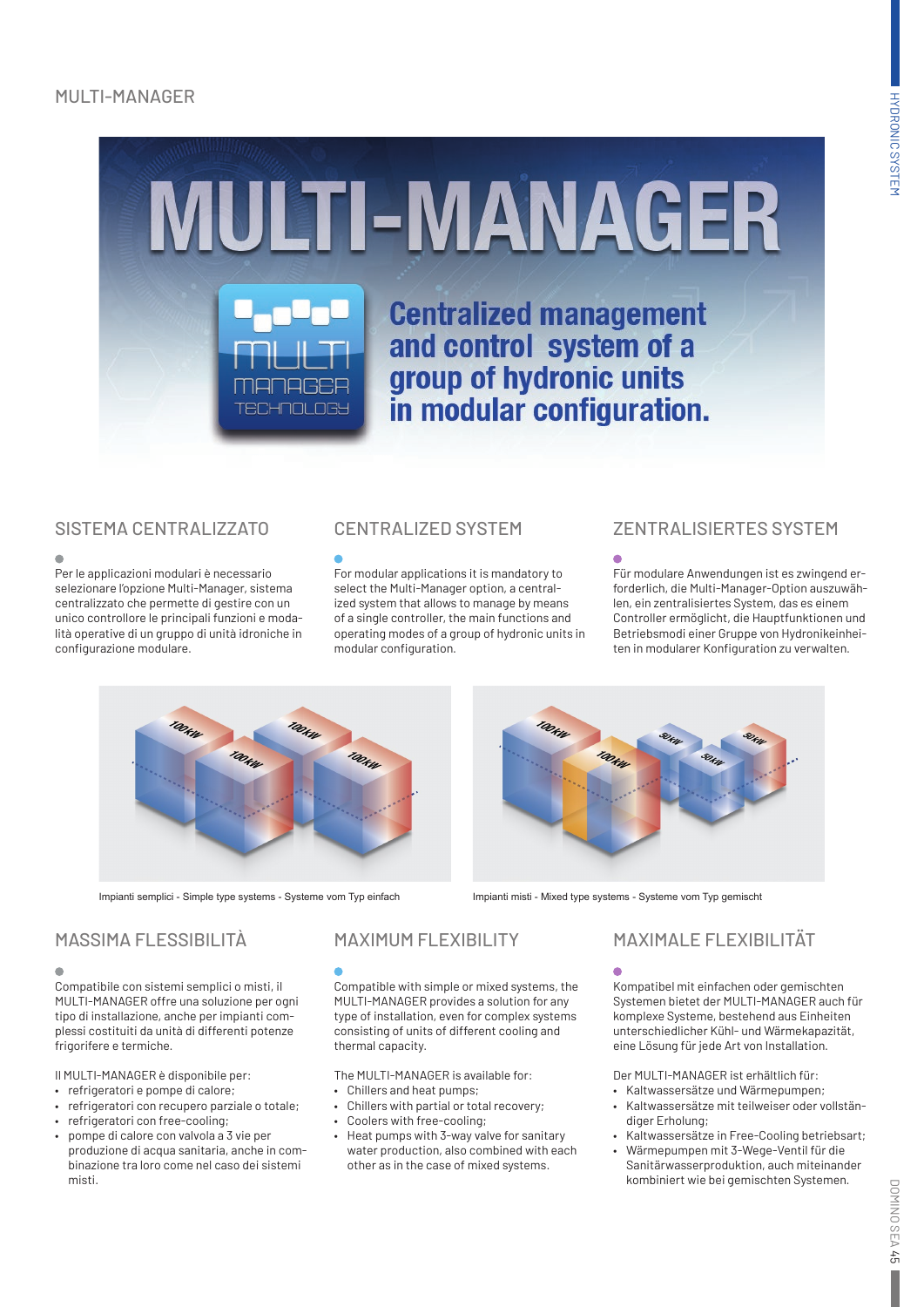# MULTI-MANAGER



 $\mathbf{r}$ 

Per le applicazioni modulari è necessario selezionare l'opzione Multi-Manager, sistema centralizzato che permette di gestire con un unico controllore le principali funzioni e modalità operative di un gruppo di unità idroniche in configurazione modulare.

For modular applications it is mandatory to select the Multi-Manager option, a centralized system that allows to manage by means of a single controller, the main functions and operating modes of a group of hydronic units in modular configuration.

# SISTEMA CENTRALIZZATO CENTRALIZED SYSTEM ZENTRALISIERTES SYSTEM

Für modulare Anwendungen ist es zwingend erforderlich, die Multi-Manager-Option auszuwählen, ein zentralisiertes System, das es einem Controller ermöglicht, die Hauptfunktionen und Betriebsmodi einer Gruppe von Hydronikeinheiten in modularer Konfiguration zu verwalten.



Impianti semplici - Simple type systems - Systeme vom Typ einfach Impianti misti - Mixed type systems - Systeme vom Typ gemischt



# MASSIMA FLESSIBILITÀ

Compatibile con sistemi semplici o misti, il MULTI-MANAGER offre una soluzione per ogni tipo di installazione, anche per impianti complessi costituiti da unità di differenti potenze frigorifere e termiche.

Il MULTI-MANAGER è disponibile per:

- refrigeratori e pompe di calore;
- refrigeratori con recupero parziale o totale;
- refrigeratori con free-cooling;
- pompe di calore con valvola a 3 vie per produzione di acqua sanitaria, anche in combinazione tra loro come nel caso dei sistemi misti.

# MAXIMUM FLEXIBILITY

Compatible with simple or mixed systems, the MULTI-MANAGER provides a solution for any type of installation, even for complex systems consisting of units of different cooling and thermal capacity.

The MULTI-MANAGER is available for:

- Chillers and heat pumps;
- Chillers with partial or total recovery;
- Coolers with free-cooling;
- Heat pumps with 3-way valve for sanitary water production, also combined with each other as in the case of mixed systems.

# MAXIMALE FLEXIBILITÄT

Kompatibel mit einfachen oder gemischten Systemen bietet der MULTI-MANAGER auch für komplexe Systeme, bestehend aus Einheiten unterschiedlicher Kühl- und Wärmekapazität, eine Lösung für jede Art von Installation.

Der MULTI-MANAGER ist erhältlich für:

- Kaltwassersätze und Wärmepumpen;
- Kaltwassersätze mit teilweiser oder vollständiger Erholung;
- Kaltwassersätze in Free-Cooling betriebsart; • Wärmepumpen mit 3-Wege-Ventil für die Sanitärwasserproduktion, auch miteinander kombiniert wie bei gemischten Systemen.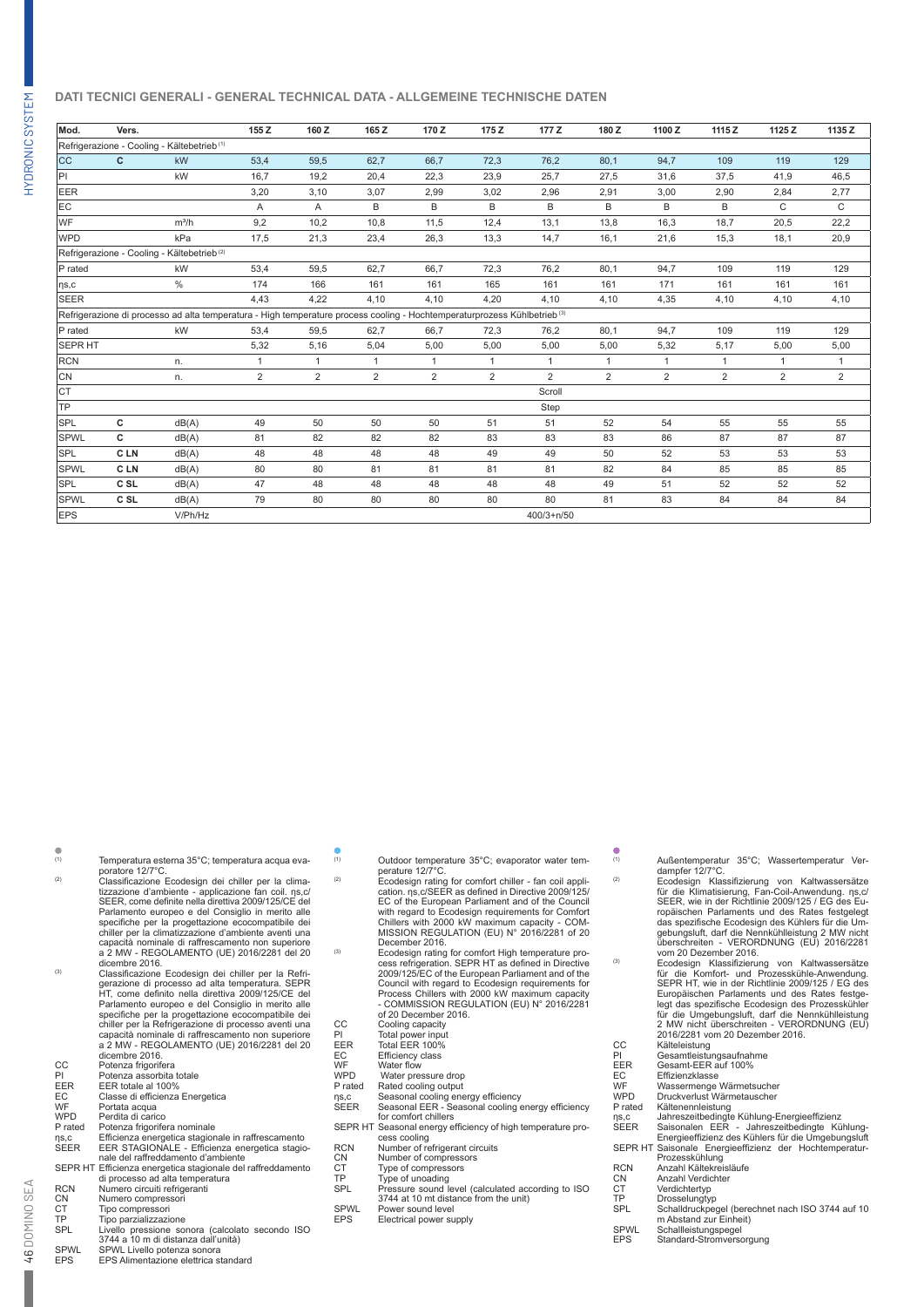## **DATI TECNICI GENERALI - GENERAL TECHNICAL DATA - ALLGEMEINE TECHNISCHE DATEN**

| Mod.                                                                                                                                 | Vers.           |                           | 155Z         | 160 Z          | 165Z         | 170Z           | 175 Z | 177 Z          | 180Z           | 1100Z          | 1115Z          | 1125 Z         | 1135 Z         |
|--------------------------------------------------------------------------------------------------------------------------------------|-----------------|---------------------------|--------------|----------------|--------------|----------------|-------|----------------|----------------|----------------|----------------|----------------|----------------|
| Refrigerazione - Cooling - Kältebetrieb (1)                                                                                          |                 |                           |              |                |              |                |       |                |                |                |                |                |                |
| <b>CC</b>                                                                                                                            | c               | kW                        | 53.4         | 59.5           | 62.7         | 66.7           | 72.3  | 76,2           | 80.1           | 94.7           | 109            | 119            | 129            |
| PI                                                                                                                                   |                 | kW                        | 16,7         | 19,2           | 20,4         | 22,3           | 23,9  | 25,7           | 27,5           | 31,6           | 37,5           | 41,9           | 46,5           |
| EER                                                                                                                                  |                 |                           | 3,20         | 3,10           | 3,07         | 2,99           | 3,02  | 2,96           | 2,91           | 3,00           | 2,90           | 2,84           | 2,77           |
| EC                                                                                                                                   |                 |                           | Α            | Α              | B            | B              | B     | B              | B              | B              | B              | C              | $\mathsf{C}$   |
| WF                                                                                                                                   |                 | $m^3/h$                   | 9,2          | 10,2           | 10,8         | 11,5           | 12,4  | 13,1           | 13,8           | 16,3           | 18,7           | 20,5           | 22,2           |
| <b>WPD</b>                                                                                                                           |                 | kPa                       | 17,5         | 21,3           | 23,4         | 26,3           | 13,3  | 14,7           | 16,1           | 21,6           | 15,3           | 18,1           | 20,9           |
| Refrigerazione - Cooling - Kältebetrieb <sup>(2)</sup>                                                                               |                 |                           |              |                |              |                |       |                |                |                |                |                |                |
| P rated                                                                                                                              |                 | kW                        | 53,4         | 59,5           | 62,7         | 66,7           | 72,3  | 76,2           | 80,1           | 94,7           | 109            | 119            | 129            |
| $\eta s,c$                                                                                                                           |                 | $\frac{0}{0}$             | 174          | 166            | 161          | 161            | 165   | 161            | 161            | 171            | 161            | 161            | 161            |
| <b>SEER</b>                                                                                                                          |                 |                           | 4,43         | 4.22           | 4.10         | 4,10           | 4.20  | 4.10           | 4,10           | 4,35           | 4,10           | 4,10           | 4,10           |
| Refrigerazione di processo ad alta temperatura - High temperature process cooling - Hochtemperaturprozess Kühlbetrieb <sup>(3)</sup> |                 |                           |              |                |              |                |       |                |                |                |                |                |                |
| P rated                                                                                                                              |                 | kW                        | 53,4         | 59,5           | 62.7         | 66,7           | 72,3  | 76,2           | 80,1           | 94,7           | 109            | 119            | 129            |
| SEPR HT                                                                                                                              |                 |                           | 5,32         | 5,16           | 5,04         | 5,00           | 5,00  | 5,00           | 5,00           | 5,32           | 5,17           | 5,00           | 5,00           |
| <b>RCN</b>                                                                                                                           |                 | n.                        | $\mathbf{1}$ |                | $\mathbf{1}$ | $\mathbf{1}$   |       | $\mathbf{1}$   | 1              |                | $\mathbf{1}$   | $\mathbf{1}$   | 1              |
| CN                                                                                                                                   |                 | n.                        | 2            | $\overline{2}$ | 2            | $\overline{2}$ | 2     | $\overline{2}$ | $\overline{2}$ | $\overline{2}$ | $\overline{2}$ | $\overline{2}$ | $\overline{2}$ |
| <b>CT</b>                                                                                                                            |                 |                           |              |                |              |                |       | Scroll         |                |                |                |                |                |
| TP                                                                                                                                   |                 | Step                      |              |                |              |                |       |                |                |                |                |                |                |
| SPL                                                                                                                                  | c               | dB(A)                     | 49           | 50             | 50           | 50             | 51    | 51             | 52             | 54             | 55             | 55             | 55             |
| SPWL                                                                                                                                 | c               | dB(A)                     | 81           | 82             | 82           | 82             | 83    | 83             | 83             | 86             | 87             | 87             | 87             |
| SPL                                                                                                                                  | C LN            | dB(A)                     | 48           | 48             | 48           | 48             | 49    | 49             | 50             | 52             | 53             | 53             | 53             |
| SPWL                                                                                                                                 | C LN            | dB(A)                     | 80           | 80             | 81           | 81             | 81    | 81             | 82             | 84             | 85             | 85             | 85             |
| SPL                                                                                                                                  | C <sub>SL</sub> | dB(A)                     | 47           | 48             | 48           | 48             | 48    | 48             | 49             | 51             | 52             | 52             | 52             |
| <b>SPWL</b>                                                                                                                          | C <sub>SL</sub> | dB(A)                     | 79           | 80             | 80           | 80             | 80    | 80             | 81             | 83             | 84             | 84             | 84             |
| <b>EPS</b>                                                                                                                           |                 | V/Ph/Hz<br>$400/3 + n/50$ |              |                |              |                |       |                |                |                |                |                |                |

(1) Temperatura esterna 35°C; temperatura acqua eva-

- poratore 12/7°C.<br><sup>(2)</sup> Classificazione Ecodesign dei chiller per la climatizzazione d'ambiente - applicazione fan coil. ηs,c/ SEER, come definite nella direttiva 2009/125/CE del Parlamento europeo e del Consiglio in merito alle specifiche per la progettazione ecocompatibile dei chiller per la climatizzazione d'ambiente aventi una capacità nominale di raffrescamento non superiore a 2 MW - REGOLAMENTO (UE) 2016/2281 del 20<br>dicembre 2016.<br>Classificazione Ecodesign dei chiller per la Refri-
- gerazione di processo ad alta temperatura. SEPR HT, come definito nella direttiva 2009/125/CE del Parlamento europeo e del Consiglio in merito alle specifiche per la progettazione ecocompatibile dei chiller per la Refrigerazione di processo aventi una capacità nominale di raffrescamento non superiore a 2 MW - REGOLAMENTO (UE) 2016/2281 del 20 dicembre 2016.
- CC Potenza frigorifera PI Potenza assorbita totale EER EER totale al 100% CC Cheinza frigorifera<br>
PI Potenza assorbita totale<br>
EER EER totale al 100%<br>
Classe di efficienza Energetica<br>
CC Classe di efficienza Energetica<br>
WF Portata acqua
- 
- 
- 
- WF Portata acqua<br>
WPD Perdita di carico<br>
P rated Potenza frigorife
- 
- WPD Perdita di carico P rated Potenza frigorifera nominale ηs,c Efficienza energetica stagionale in raffrescamento SEER EER STAGIONALE Efficienza energetica stagionale del raffreddamento d'ambiente
- SEPR HT Efficienza energetica stagionale del raffreddamento di processo ad alta temperatura
- n processo a ana temper<br>RCN Numero circuiti refrigeranti<br>CN Numero compressori<br>CT Tipo compressori<br>TP Tipo parzializzazione<br>SPL Livello pressione sonora Numero compressori
- Tipo compressori
- 
- TP Tipo parzializzazione SPL Livello pressione sonora (calcolato secondo ISO 3744 a 10 m di distanza dall'unità)
- SPWL SPWL Livello potenza sonora<br>EPS EPS Alimentazione elettrica s
- EPS EPS Alimentazione elettrica standard
- (1) Outdoor temperature 35°C; evaporator water tem-perature 12/7°C. (2) Ecodesign rating for comfort chiller fan coil appli-
- cation. ηs,c/SEER as defined in Directive 2009/125/ EC of the European Parliament and of the Council with regard to Ecodesign requirements for Comfort Chillers with 2000 kW maximum capacity - COM-MISSION REGULATION (EU) N° 2016/2281 of 20 December 2016.
- (3) Ecodesign rating for comfort High temperature pro-cess refrigeration. SEPR HT as defined in Directive 2009/125/EC of the European Parliament and of the Council with regard to Ecodesign requirements for Process Chillers with 2000 kW maximum capacity - COMMISSION REGULATION (EU) N° 2016/2281
- of 20 December 2016. CC Cooling capacity
- PI Total power input EER Total EER 100%
- 
- EC Efficiency class<br>WE Water flow
- WF Water flow WPD Water pressure drop
- WPD Water pressure drop<br>P rated Rated cooling output<br>ns,c Seasonal cooling ene<br>SEER Seasonal EER Seas
- 
- ηs,c Seasonal cooling energy efficiency SEER Seasonal EER Seasonal cooling energy efficiency
- for comfort chillers SEPR HT Seasonal energy efficiency of high temperature pro-
- cess cooling<br>RCN Number of refrigerant circuits
- Number of compressors<br>CN Number of compressors<br>CT Type of compressors<br>TP Type of unoading
- Type of compressors
- TP Type of unoading SPL Pressure sound level (calculated according to ISO 3744 at 10 mt distance from the unit)
- SPWL Power sound level<br>EPS Electrical power su
- Electrical power supply
- -
- (1) Außentemperatur 35°C; Wassertemperatur Ver-<br>dampfer 12/7°C.<br>Ecodesign Klassifizierung von Kaltwassersätze<br>für die Klimatisierung, Fan-Coil-Anwendung. ηs,c/<br>SEER, wie in der Richtlinie 2009/125 / EG des Europäischen Parlaments und des Rates festgelegt das spezifische Ecodesign des Kühlers für die Um-gebungsluft, darf die Nennkühlleistung 2 MW nicht überschreiten - VERORDNUNG (EU) 2016/2281
- vom 20 Dezember 2016. (3) Ecodesign Klassifizierung von Kaltwassersätze für die Komfort- und Prozesskühle-Anwendung. SEPR HT, wie in der Richtlinie 2009/125 / EG des Europäischen Parlaments und des Rates festgelegt das spezifische Ecodesign des Prozesskühler für die Umgebungsluft, darf die Nennkühlleistung 2 MW nicht überschreiten - VERORDNUNG (EU) 2016/2281 vom 20 Dezember 2016.
- 
- CC Kälteleistung PI Gesamtleistungsaufnahme
- 
- EER Gesamt-EER auf 100% EC Effizienzklasse WF Wassermenge Wärmetsucher
- FER Gesamt-EER auf 100%<br>EC Effizienzklasse<br>WF Wassermenge Wärmetsuche<br>WPD Druckverlust Wärmetauscher<br>Prated Kältenennleistung
- **Erastvenast Wann**
- ηs,c Jahreszeitbedingte Kühlung-Energieeffizienz SEER Saisonalen EER Jahreszeitbedingte Kühlung-Energieeffizienz des Kühlers für die Umgebungsluft
- SEPR HT Saisonale Energieeffizienz der Hochtemperatur-
- - Prozesskühlung RCN Anzahl Kältekreisläufe
- CN Anzahl Verdichter<br>CT Verdichtertyp<br>TP Drosselungtyp
- CT Verdichtertyp TP Drosselungtyp
- 
- SPL Schalldruckpegel (berechnet nach ISO 3744 auf 10 m Abstand zur Einheit) SPWL Schallleistungspegel
- EPS Standard-Stromversorgung

46 DOMINO SEA

46 DOMINO SEA

HYDRONIC SYSTEM

HYDRONIC SYSTEM